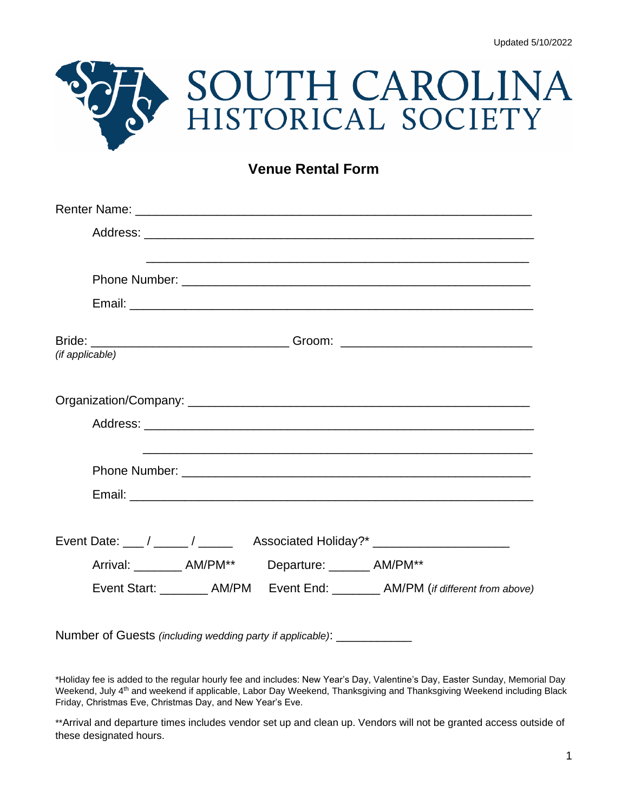

## **Venue Rental Form**

| (if applicable)                                                                  |
|----------------------------------------------------------------------------------|
|                                                                                  |
|                                                                                  |
|                                                                                  |
|                                                                                  |
|                                                                                  |
|                                                                                  |
|                                                                                  |
| Event Date: ___ / _____ / _____ Associated Holiday?* ______________________      |
| Arrival: _________ AM/PM** Departure: _______ AM/PM**                            |
| Event Start: _________ AM/PM Event End: ________ AM/PM (if different from above) |
|                                                                                  |

Number of Guests *(including wedding party if applicable)*: \_\_\_\_\_\_\_\_\_\_\_

\*Holiday fee is added to the regular hourly fee and includes: New Year's Day, Valentine's Day, Easter Sunday, Memorial Day Weekend, July 4<sup>th</sup> and weekend if applicable, Labor Day Weekend, Thanksgiving and Thanksgiving Weekend including Black Friday, Christmas Eve, Christmas Day, and New Year's Eve.

\*\*Arrival and departure times includes vendor set up and clean up. Vendors will not be granted access outside of these designated hours.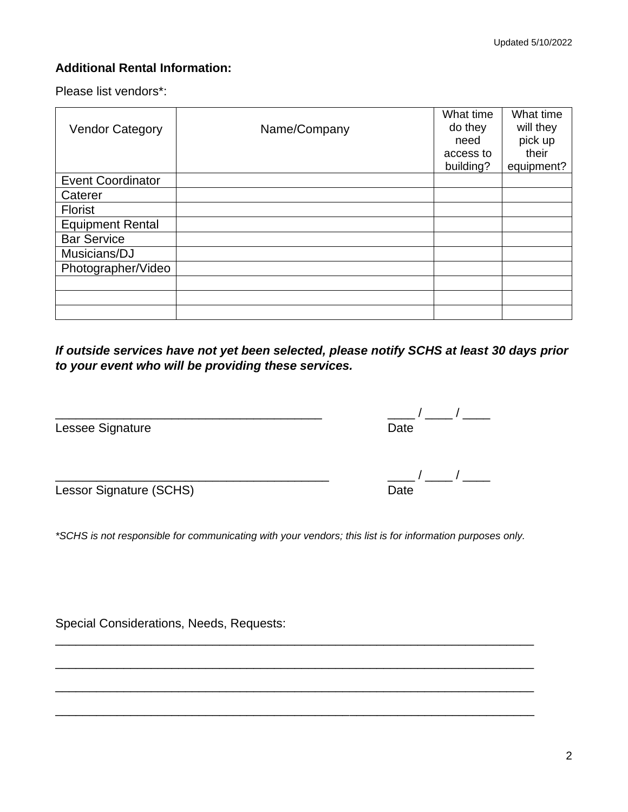#### **Additional Rental Information:**

Please list vendors\*:

|                          |              | What time | What time  |
|--------------------------|--------------|-----------|------------|
| <b>Vendor Category</b>   | Name/Company | do they   | will they  |
|                          |              | need      | pick up    |
|                          |              | access to | their      |
|                          |              | building? | equipment? |
| <b>Event Coordinator</b> |              |           |            |
| Caterer                  |              |           |            |
| <b>Florist</b>           |              |           |            |
| <b>Equipment Rental</b>  |              |           |            |
| <b>Bar Service</b>       |              |           |            |
| Musicians/DJ             |              |           |            |
| Photographer/Video       |              |           |            |
|                          |              |           |            |
|                          |              |           |            |
|                          |              |           |            |

*If outside services have not yet been selected, please notify SCHS at least 30 days prior to your event who will be providing these services.*

| Lessee Signature | 'Jate |
|------------------|-------|

 $\frac{\frac{1}{2} + \frac{1}{2}}{\frac{1}{2} + \frac{1}{2}} = \frac{1}{2}$ 

Lessor Signature (SCHS) Date

*\*SCHS is not responsible for communicating with your vendors; this list is for information purposes only.*

\_\_\_\_\_\_\_\_\_\_\_\_\_\_\_\_\_\_\_\_\_\_\_\_\_\_\_\_\_\_\_\_\_\_\_\_\_\_\_\_\_\_\_\_\_\_\_\_\_\_\_\_\_\_\_\_\_\_\_\_\_\_\_\_\_\_\_\_\_\_

\_\_\_\_\_\_\_\_\_\_\_\_\_\_\_\_\_\_\_\_\_\_\_\_\_\_\_\_\_\_\_\_\_\_\_\_\_\_\_\_\_\_\_\_\_\_\_\_\_\_\_\_\_\_\_\_\_\_\_\_\_\_\_\_\_\_\_\_\_\_

\_\_\_\_\_\_\_\_\_\_\_\_\_\_\_\_\_\_\_\_\_\_\_\_\_\_\_\_\_\_\_\_\_\_\_\_\_\_\_\_\_\_\_\_\_\_\_\_\_\_\_\_\_\_\_\_\_\_\_\_\_\_\_\_\_\_\_\_\_\_

\_\_\_\_\_\_\_\_\_\_\_\_\_\_\_\_\_\_\_\_\_\_\_\_\_\_\_\_\_\_\_\_\_\_\_\_\_\_\_\_\_\_\_\_\_\_\_\_\_\_\_\_\_\_\_\_\_\_\_\_\_\_\_\_\_\_\_\_\_\_

Special Considerations, Needs, Requests: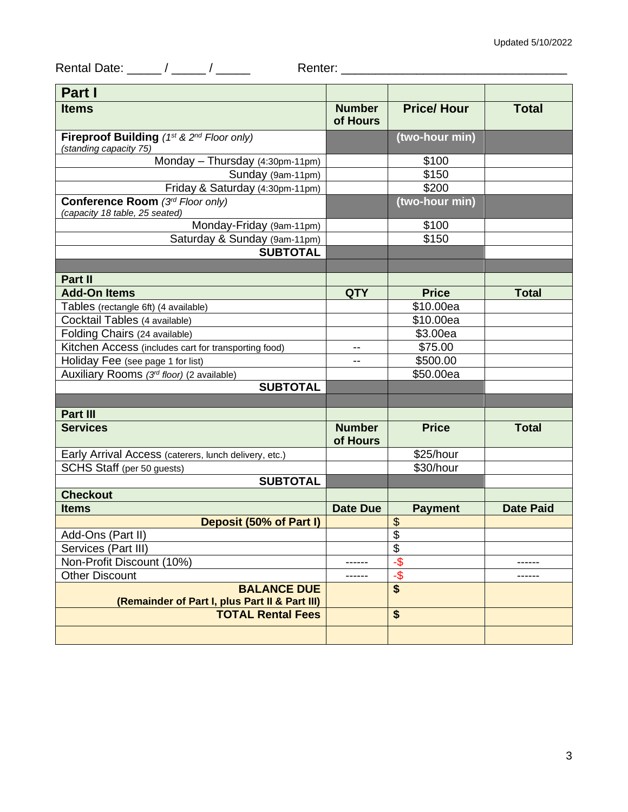Rental Date: \_\_\_\_\_ / \_\_\_\_\_ / \_\_\_\_\_ Renter: \_\_\_\_\_\_\_\_\_\_\_\_\_\_\_\_\_\_\_\_\_\_\_\_\_\_\_\_\_\_\_\_\_

| Part I                                                               |                           |                          |                  |
|----------------------------------------------------------------------|---------------------------|--------------------------|------------------|
| <b>Items</b>                                                         | <b>Number</b><br>of Hours | <b>Price/Hour</b>        | <b>Total</b>     |
| Fireproof Building (1st & 2nd Floor only)                            |                           | (two-hour min)           |                  |
| (standing capacity 75)                                               |                           |                          |                  |
| Monday - Thursday (4:30pm-11pm)                                      |                           | \$100                    |                  |
| Sunday (9am-11pm)                                                    |                           | \$150                    |                  |
| Friday & Saturday (4:30pm-11pm)                                      |                           | \$200                    |                  |
| Conference Room (3rd Floor only)<br>(capacity 18 table, 25 seated)   |                           | (two-hour min)           |                  |
| Monday-Friday (9am-11pm)                                             |                           | \$100                    |                  |
| Saturday & Sunday (9am-11pm)                                         |                           | \$150                    |                  |
| <b>SUBTOTAL</b>                                                      |                           |                          |                  |
|                                                                      |                           |                          |                  |
| Part II                                                              |                           |                          |                  |
| <b>Add-On Items</b>                                                  | <b>QTY</b>                | <b>Price</b>             | <b>Total</b>     |
| Tables (rectangle 6ft) (4 available)                                 |                           | \$10.00ea                |                  |
| Cocktail Tables (4 available)                                        |                           | \$10.00ea                |                  |
| Folding Chairs (24 available)                                        |                           | \$3.00ea                 |                  |
| Kitchen Access (includes cart for transporting food)                 | --                        | \$75.00                  |                  |
| Holiday Fee (see page 1 for list)                                    | --                        | \$500.00                 |                  |
| Auxiliary Rooms (3rd floor) (2 available)                            |                           | \$50.00ea                |                  |
| <b>SUBTOTAL</b>                                                      |                           |                          |                  |
|                                                                      |                           |                          |                  |
| Part III                                                             |                           |                          |                  |
| <b>Services</b>                                                      | <b>Number</b><br>of Hours | <b>Price</b>             | <b>Total</b>     |
| Early Arrival Access (caterers, lunch delivery, etc.)                |                           | \$25/hour                |                  |
| SCHS Staff (per 50 guests)                                           |                           | \$30/hour                |                  |
| <b>SUBTOTAL</b>                                                      |                           |                          |                  |
| <b>Checkout</b>                                                      |                           |                          |                  |
| <b>Items</b>                                                         | <b>Date Due</b>           | <b>Payment</b>           | <b>Date Paid</b> |
| Deposit (50% of Part I)                                              |                           | \$                       |                  |
| Add-Ons (Part II)                                                    |                           | $\overline{\mathcal{S}}$ |                  |
| Services (Part III)                                                  |                           | \$                       |                  |
| Non-Profit Discount (10%)                                            | ------                    | $-\frac{1}{9}$           |                  |
| <b>Other Discount</b>                                                | ------                    | -\$                      |                  |
| <b>BALANCE DUE</b><br>(Remainder of Part I, plus Part II & Part III) |                           | \$                       |                  |
| <b>TOTAL Rental Fees</b>                                             |                           | \$                       |                  |
|                                                                      |                           |                          |                  |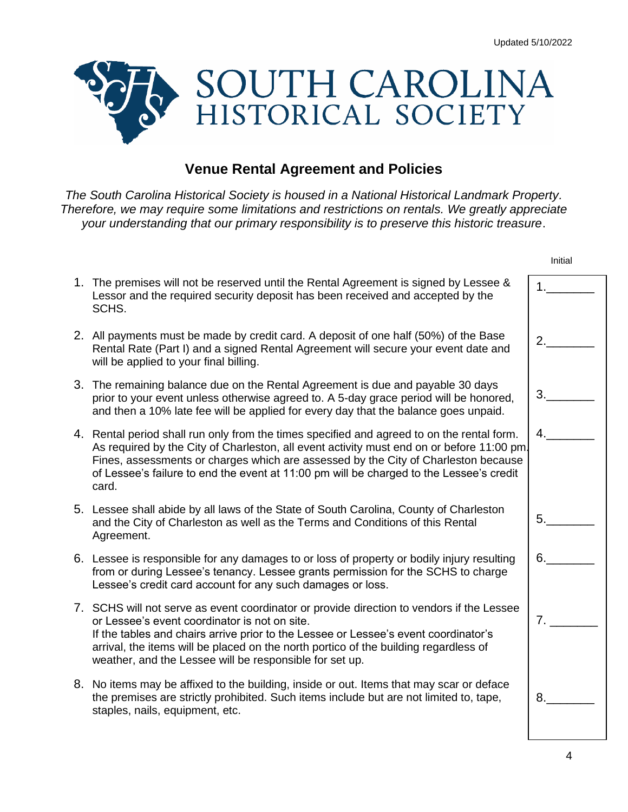Initial



### **Venue Rental Agreement and Policies**

*The South Carolina Historical Society is housed in a National Historical Landmark Property. Therefore, we may require some limitations and restrictions on rentals. We greatly appreciate your understanding that our primary responsibility is to preserve this historic treasure*.

|    | 1. The premises will not be reserved until the Rental Agreement is signed by Lessee &<br>Lessor and the required security deposit has been received and accepted by the<br>SCHS.                                                                                                                                                                                                     | 1. |
|----|--------------------------------------------------------------------------------------------------------------------------------------------------------------------------------------------------------------------------------------------------------------------------------------------------------------------------------------------------------------------------------------|----|
|    | 2. All payments must be made by credit card. A deposit of one half (50%) of the Base<br>Rental Rate (Part I) and a signed Rental Agreement will secure your event date and<br>will be applied to your final billing.                                                                                                                                                                 | 2. |
|    | 3. The remaining balance due on the Rental Agreement is due and payable 30 days<br>prior to your event unless otherwise agreed to. A 5-day grace period will be honored,<br>and then a 10% late fee will be applied for every day that the balance goes unpaid.                                                                                                                      | 3. |
| 4. | Rental period shall run only from the times specified and agreed to on the rental form.<br>As required by the City of Charleston, all event activity must end on or before 11:00 pm.<br>Fines, assessments or charges which are assessed by the City of Charleston because<br>of Lessee's failure to end the event at 11:00 pm will be charged to the Lessee's credit<br>card.       | 4. |
|    | 5. Lessee shall abide by all laws of the State of South Carolina, County of Charleston<br>and the City of Charleston as well as the Terms and Conditions of this Rental<br>Agreement.                                                                                                                                                                                                | 5. |
|    | 6. Lessee is responsible for any damages to or loss of property or bodily injury resulting<br>from or during Lessee's tenancy. Lessee grants permission for the SCHS to charge<br>Lessee's credit card account for any such damages or loss.                                                                                                                                         | 6. |
|    | 7. SCHS will not serve as event coordinator or provide direction to vendors if the Lessee<br>or Lessee's event coordinator is not on site.<br>If the tables and chairs arrive prior to the Lessee or Lessee's event coordinator's<br>arrival, the items will be placed on the north portico of the building regardless of<br>weather, and the Lessee will be responsible for set up. | 7. |
| 8. | No items may be affixed to the building, inside or out. Items that may scar or deface<br>the premises are strictly prohibited. Such items include but are not limited to, tape,<br>staples, nails, equipment, etc.                                                                                                                                                                   | 8. |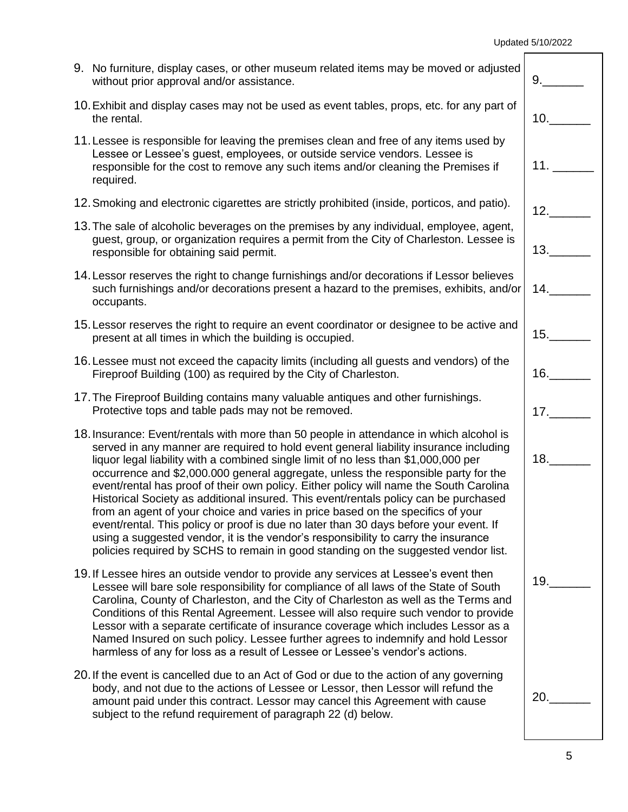| 9. No furniture, display cases, or other museum related items may be moved or adjusted<br>without prior approval and/or assistance.                                                                                                                                                                                                                                                                                                                                                                                                                                                                                                                                                                                                                                                                                                                                                                     | 9.  |
|---------------------------------------------------------------------------------------------------------------------------------------------------------------------------------------------------------------------------------------------------------------------------------------------------------------------------------------------------------------------------------------------------------------------------------------------------------------------------------------------------------------------------------------------------------------------------------------------------------------------------------------------------------------------------------------------------------------------------------------------------------------------------------------------------------------------------------------------------------------------------------------------------------|-----|
| 10. Exhibit and display cases may not be used as event tables, props, etc. for any part of<br>the rental.                                                                                                                                                                                                                                                                                                                                                                                                                                                                                                                                                                                                                                                                                                                                                                                               | 10. |
| 11. Lessee is responsible for leaving the premises clean and free of any items used by<br>Lessee or Lessee's guest, employees, or outside service vendors. Lessee is<br>responsible for the cost to remove any such items and/or cleaning the Premises if<br>required.                                                                                                                                                                                                                                                                                                                                                                                                                                                                                                                                                                                                                                  |     |
| 12. Smoking and electronic cigarettes are strictly prohibited (inside, porticos, and patio).                                                                                                                                                                                                                                                                                                                                                                                                                                                                                                                                                                                                                                                                                                                                                                                                            | 12. |
| 13. The sale of alcoholic beverages on the premises by any individual, employee, agent,<br>guest, group, or organization requires a permit from the City of Charleston. Lessee is<br>responsible for obtaining said permit.                                                                                                                                                                                                                                                                                                                                                                                                                                                                                                                                                                                                                                                                             | 13. |
| 14. Lessor reserves the right to change furnishings and/or decorations if Lessor believes<br>such furnishings and/or decorations present a hazard to the premises, exhibits, and/or<br>occupants.                                                                                                                                                                                                                                                                                                                                                                                                                                                                                                                                                                                                                                                                                                       | 14. |
| 15. Lessor reserves the right to require an event coordinator or designee to be active and<br>present at all times in which the building is occupied.                                                                                                                                                                                                                                                                                                                                                                                                                                                                                                                                                                                                                                                                                                                                                   | 15. |
| 16. Lessee must not exceed the capacity limits (including all guests and vendors) of the<br>Fireproof Building (100) as required by the City of Charleston.                                                                                                                                                                                                                                                                                                                                                                                                                                                                                                                                                                                                                                                                                                                                             | 16. |
| 17. The Fireproof Building contains many valuable antiques and other furnishings.<br>Protective tops and table pads may not be removed.                                                                                                                                                                                                                                                                                                                                                                                                                                                                                                                                                                                                                                                                                                                                                                 | 17. |
| 18. Insurance: Event/rentals with more than 50 people in attendance in which alcohol is<br>served in any manner are required to hold event general liability insurance including<br>liquor legal liability with a combined single limit of no less than \$1,000,000 per<br>occurrence and \$2,000.000 general aggregate, unless the responsible party for the<br>event/rental has proof of their own policy. Either policy will name the South Carolina<br>Historical Society as additional insured. This event/rentals policy can be purchased<br>from an agent of your choice and varies in price based on the specifics of your<br>event/rental. This policy or proof is due no later than 30 days before your event. If<br>using a suggested vendor, it is the vendor's responsibility to carry the insurance<br>policies required by SCHS to remain in good standing on the suggested vendor list. |     |
| 19. If Lessee hires an outside vendor to provide any services at Lessee's event then<br>Lessee will bare sole responsibility for compliance of all laws of the State of South<br>Carolina, County of Charleston, and the City of Charleston as well as the Terms and<br>Conditions of this Rental Agreement. Lessee will also require such vendor to provide<br>Lessor with a separate certificate of insurance coverage which includes Lessor as a<br>Named Insured on such policy. Lessee further agrees to indemnify and hold Lessor<br>harmless of any for loss as a result of Lessee or Lessee's vendor's actions.                                                                                                                                                                                                                                                                                 | 19. |
| 20. If the event is cancelled due to an Act of God or due to the action of any governing<br>body, and not due to the actions of Lessee or Lessor, then Lessor will refund the<br>amount paid under this contract. Lessor may cancel this Agreement with cause<br>subject to the refund requirement of paragraph 22 (d) below.                                                                                                                                                                                                                                                                                                                                                                                                                                                                                                                                                                           | 20. |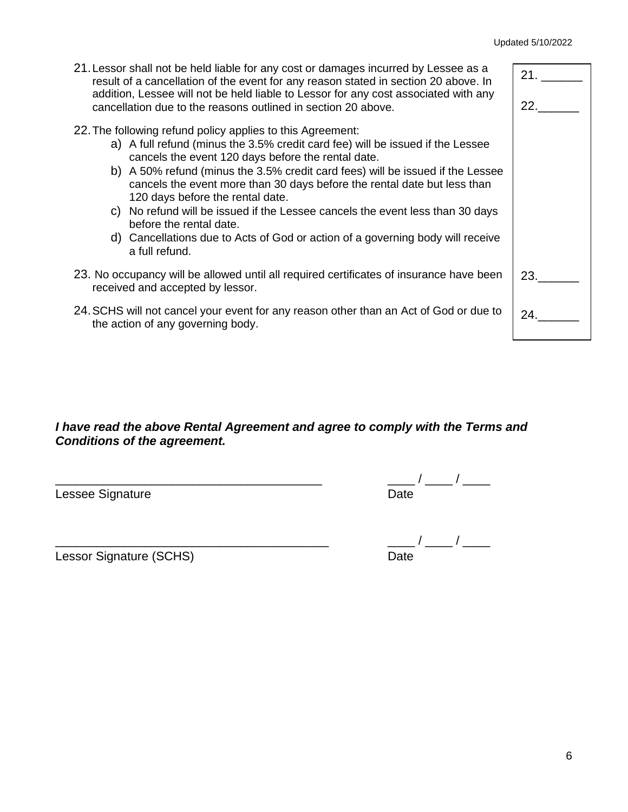6

#### Updated 5/10/2022

23.\_\_\_\_\_\_

24.\_\_\_\_\_\_

- 21.Lessor shall not be held liable for any cost or damages incurred by Lessee as a result of a cancellation of the event for any reason stated in section 20 above. In addition, Lessee will not be held liable to Lessor for any cost associated with any cancellation due to the reasons outlined in section 20 above. 22.The following refund policy applies to this Agreement: a) A full refund (minus the 3.5% credit card fee) will be issued if the Lessee cancels the event 120 days before the rental date. 21. \_\_\_\_\_\_ 22.\_\_\_\_\_\_
	- b) A 50% refund (minus the 3.5% credit card fees) will be issued if the Lessee cancels the event more than 30 days before the rental date but less than 120 days before the rental date.
	- c) No refund will be issued if the Lessee cancels the event less than 30 days before the rental date.
	- d) Cancellations due to Acts of God or action of a governing body will receive a full refund.
- 23. No occupancy will be allowed until all required certificates of insurance have been received and accepted by lessor.
- 24.SCHS will not cancel your event for any reason other than an Act of God or due to the action of any governing body.

#### *I have read the above Rental Agreement and agree to comply with the Terms and Conditions of the agreement.*

Lessee Signature

Lessor Signature (SCHS)

| Date |  |
|------|--|

| Lessor Signature (SCHS) | ר Oate |
|-------------------------|--------|

# \_\_\_\_\_\_\_\_\_\_\_\_\_\_\_\_\_\_\_\_\_\_\_\_\_\_\_\_\_\_\_\_\_\_\_\_\_\_\_ \_\_\_\_ / \_\_\_\_ / \_\_\_\_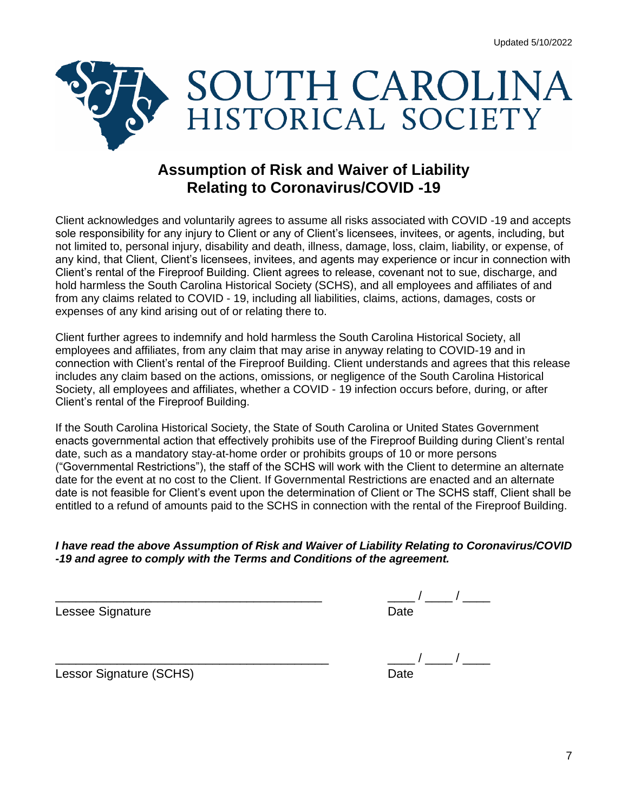

# **Assumption of Risk and Waiver of Liability Relating to Coronavirus/COVID -19**

Client acknowledges and voluntarily agrees to assume all risks associated with COVID -19 and accepts sole responsibility for any injury to Client or any of Client's licensees, invitees, or agents, including, but not limited to, personal injury, disability and death, illness, damage, loss, claim, liability, or expense, of any kind, that Client, Client's licensees, invitees, and agents may experience or incur in connection with Client's rental of the Fireproof Building. Client agrees to release, covenant not to sue, discharge, and hold harmless the South Carolina Historical Society (SCHS), and all employees and affiliates of and from any claims related to COVID - 19, including all liabilities, claims, actions, damages, costs or expenses of any kind arising out of or relating there to.

Client further agrees to indemnify and hold harmless the South Carolina Historical Society, all employees and affiliates, from any claim that may arise in anyway relating to COVID-19 and in connection with Client's rental of the Fireproof Building. Client understands and agrees that this release includes any claim based on the actions, omissions, or negligence of the South Carolina Historical Society, all employees and affiliates, whether a COVID - 19 infection occurs before, during, or after Client's rental of the Fireproof Building.

If the South Carolina Historical Society, the State of South Carolina or United States Government enacts governmental action that effectively prohibits use of the Fireproof Building during Client's rental date, such as a mandatory stay-at-home order or prohibits groups of 10 or more persons ("Governmental Restrictions"), the staff of the SCHS will work with the Client to determine an alternate date for the event at no cost to the Client. If Governmental Restrictions are enacted and an alternate date is not feasible for Client's event upon the determination of Client or The SCHS staff, Client shall be entitled to a refund of amounts paid to the SCHS in connection with the rental of the Fireproof Building.

#### *I have read the above Assumption of Risk and Waiver of Liability Relating to Coronavirus/COVID -19 and agree to comply with the Terms and Conditions of the agreement.*

| Lessee Signature | ')ate |
|------------------|-------|

| Lessor Signature (SCHS) |  | Date |
|-------------------------|--|------|
|                         |  |      |

| Lessor Signature (SCHS) | Date |  |
|-------------------------|------|--|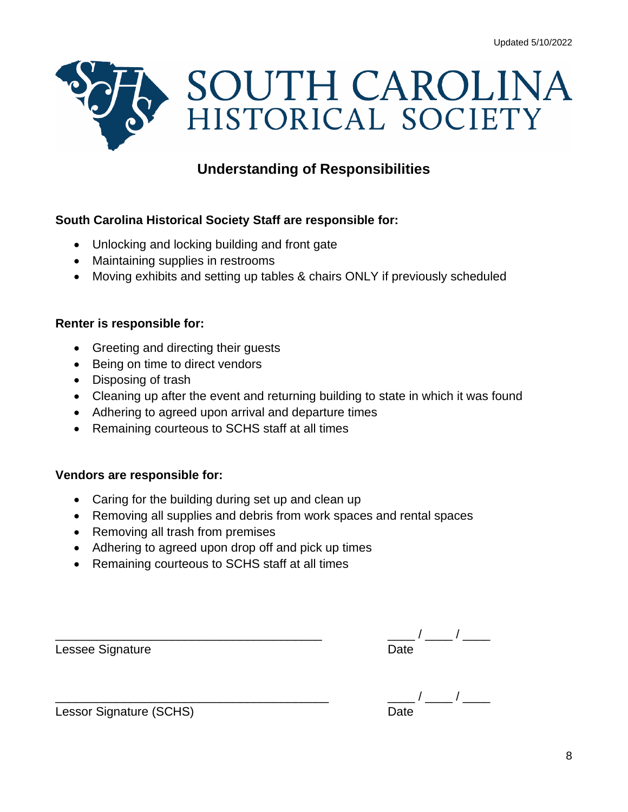

# **Understanding of Responsibilities**

#### **South Carolina Historical Society Staff are responsible for:**

- Unlocking and locking building and front gate
- Maintaining supplies in restrooms
- Moving exhibits and setting up tables & chairs ONLY if previously scheduled

#### **Renter is responsible for:**

- Greeting and directing their guests
- Being on time to direct vendors
- Disposing of trash
- Cleaning up after the event and returning building to state in which it was found
- Adhering to agreed upon arrival and departure times
- Remaining courteous to SCHS staff at all times

#### **Vendors are responsible for:**

- Caring for the building during set up and clean up
- Removing all supplies and debris from work spaces and rental spaces
- Removing all trash from premises
- Adhering to agreed upon drop off and pick up times
- Remaining courteous to SCHS staff at all times

| Lessee Signature | ')ate |
|------------------|-------|

| <b>Lessor Signature (SCHS)</b> |  |  |
|--------------------------------|--|--|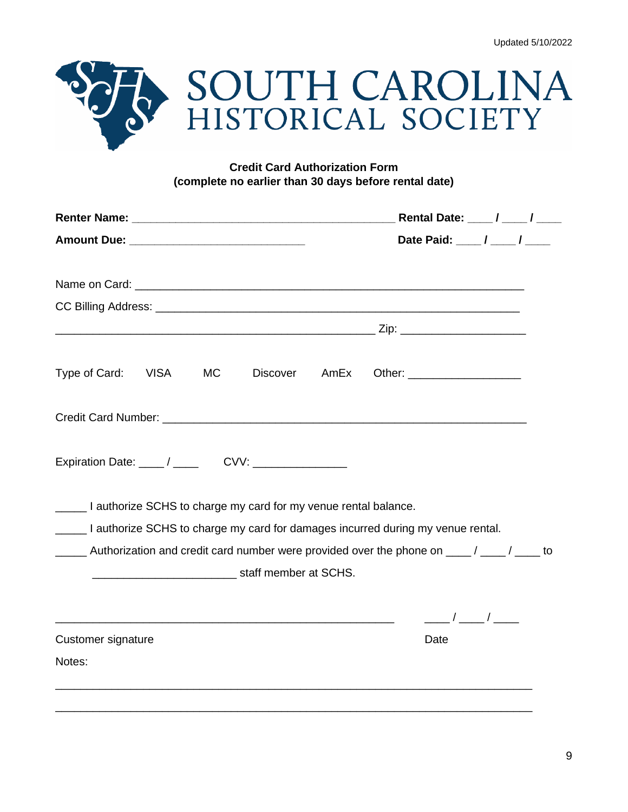

#### **Credit Card Authorization Form (complete no earlier than 30 days before rental date)**

|                                                                       |                             |           |                       | Rental Date: ____ / ____ / ____ |                                                                                                |  |
|-----------------------------------------------------------------------|-----------------------------|-----------|-----------------------|---------------------------------|------------------------------------------------------------------------------------------------|--|
|                                                                       | Date Paid: ____/ ____/ ____ |           |                       |                                 |                                                                                                |  |
|                                                                       |                             |           |                       |                                 |                                                                                                |  |
|                                                                       |                             |           |                       |                                 |                                                                                                |  |
|                                                                       |                             |           |                       |                                 |                                                                                                |  |
| Type of Card:                                                         | <b>VISA</b>                 | <b>MC</b> | <b>Discover</b>       |                                 | AmEx Other: ____________________                                                               |  |
|                                                                       |                             |           |                       |                                 |                                                                                                |  |
| Expiration Date: ____/ ____ CVV: ____________                         |                             |           |                       |                                 |                                                                                                |  |
| _____ I authorize SCHS to charge my card for my venue rental balance. |                             |           |                       |                                 |                                                                                                |  |
|                                                                       |                             |           |                       |                                 | _____ I authorize SCHS to charge my card for damages incurred during my venue rental.          |  |
|                                                                       |                             |           | staff member at SCHS. |                                 | _____ Authorization and credit card number were provided over the phone on ____/ ____/ ____ to |  |
|                                                                       |                             |           |                       |                                 | $\frac{\frac{1}{2}}{2}$                                                                        |  |
| Customer signature                                                    |                             |           |                       |                                 | Date                                                                                           |  |
| Notes:                                                                |                             |           |                       |                                 |                                                                                                |  |
|                                                                       |                             |           |                       |                                 |                                                                                                |  |
|                                                                       |                             |           |                       |                                 |                                                                                                |  |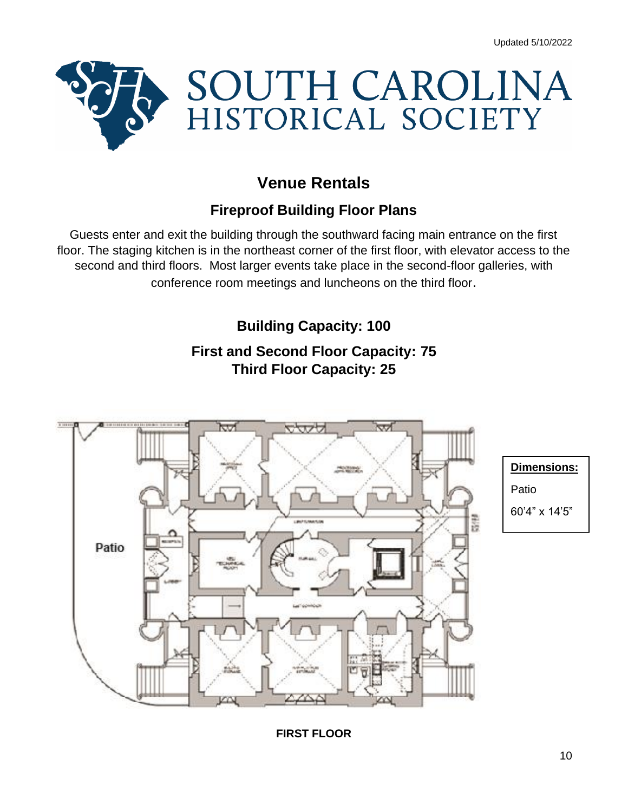

# **Venue Rentals**

# **Fireproof Building Floor Plans**

Guests enter and exit the building through the southward facing main entrance on the first floor. The staging kitchen is in the northeast corner of the first floor, with elevator access to the second and third floors. Most larger events take place in the second-floor galleries, with conference room meetings and luncheons on the third floor.

# **Building Capacity: 100**

# **First and Second Floor Capacity: 75 Third Floor Capacity: 25**



10

#### **FIRST FLOOR**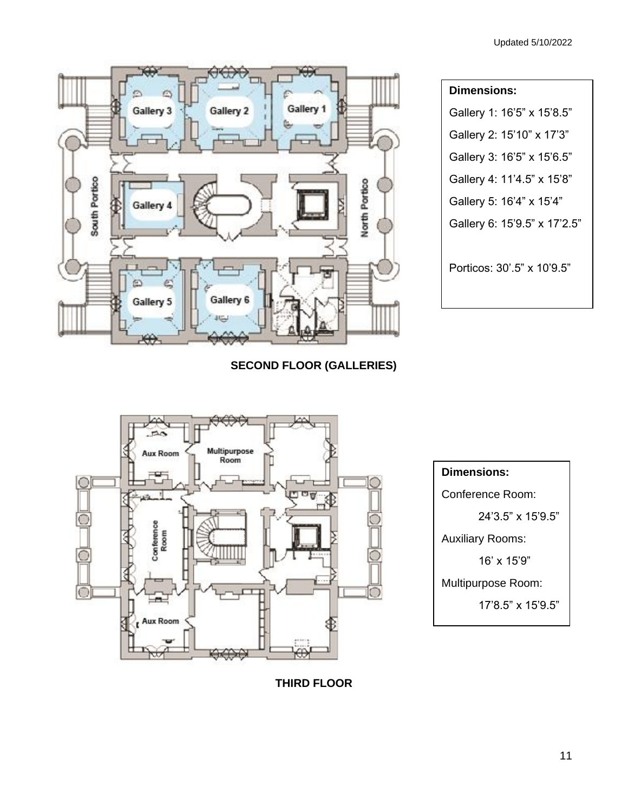

| <b>Dimensions:</b>           |  |  |  |  |
|------------------------------|--|--|--|--|
| Gallery 1: 16'5" x 15'8.5"   |  |  |  |  |
| Gallery 2: 15'10" x 17'3"    |  |  |  |  |
| Gallery 3: 16'5" x 15'6.5"   |  |  |  |  |
| Gallery 4: 11'4.5" x 15'8"   |  |  |  |  |
| Gallery 5: 16'4" x 15'4"     |  |  |  |  |
| Gallery 6: 15'9.5" x 17'2.5" |  |  |  |  |
| Porticos: 30'.5" x 10'9.5"   |  |  |  |  |

**SECOND FLOOR (GALLERIES)**





**THIRD FLOOR**